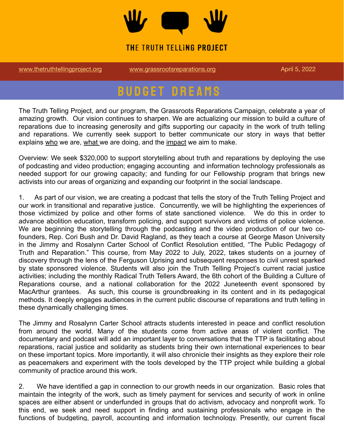

## THE TRUTH TELLING PROJECT

[www.thetruthtellingproject.org](http://www.thetruthtellingproject.org) [www.grassrootsreparations.org](http://www.grassrootsreparations.org) April 5, 2022

## **BUDGET DREAMS**

The Truth Telling Project, and our program, the Grassroots Reparations Campaign, celebrate a year of amazing growth. Our vision continues to sharpen. We are actualizing our mission to build a culture of reparations due to increasing generosity and gifts supporting our capacity in the work of truth telling and reparations. We currently seek support to better communicate our story in ways that better explains who we are, what we are doing, and the impact we aim to make.

Overview: We seek \$320,000 to support storytelling about truth and reparations by deploying the use of podcasting and video production; engaging accounting and information technology professionals as needed support for our growing capacity; and funding for our Fellowship program that brings new activists into our areas of organizing and expanding our footprint in the social landscape.

1. As part of our vision, we are creating a podcast that tells the story of the Truth Telling Project and our work in transitional and reparative justice. Concurrently, we will be highlighting the experiences of those victimized by police and other forms of state sanctioned violence. We do this in order to advance abolition education, transform policing, and support survivors and victims of police violence. We are beginning the storytelling through the podcasting and the video production of our two cofounders, Rep. Cori Bush and Dr. David Ragland, as they teach a course at George Mason University in the Jimmy and Rosalynn Carter School of Conflict Resolution entitled, "The Public Pedagogy of Truth and Reparation." This course, from May 2022 to July, 2022, takes students on a journey of discovery through the lens of the Ferguson Uprising and subsequent responses to civil unrest sparked by state sponsored violence. Students will also join the Truth Telling Project's current racial justice activities; including the monthly Radical Truth Tellers Award, the 6th cohort of the Building a Culture of Reparations course, and a national collaboration for the 2022 Juneteenth event sponsored by MacArthur grantees. As such, this course is groundbreaking in its content and in its pedagogical methods. It deeply engages audiences in the current public discourse of reparations and truth telling in these dynamically challenging times.

The Jimmy and Rosalynn Carter School attracts students interested in peace and conflict resolution from around the world. Many of the students come from active areas of violent conflict. The documentary and podcast will add an important layer to conversations that the TTP is facilitating about reparations, racial justice and solidarity as students bring their own international experiences to bear on these important topics. More importantly, it will also chronicle their insights as they explore their role as peacemakers and experiment with the tools developed by the TTP project while building a global community of practice around this work.

2. We have identified a gap in connection to our growth needs in our organization. Basic roles that maintain the integrity of the work, such as timely payment for services and security of work in online spaces are either absent or underfunded in groups that do activism, advocacy and nonprofit work. To this end, we seek and need support in finding and sustaining professionals who engage in the functions of budgeting, payroll, accounting and information technology. Presently, our current fiscal